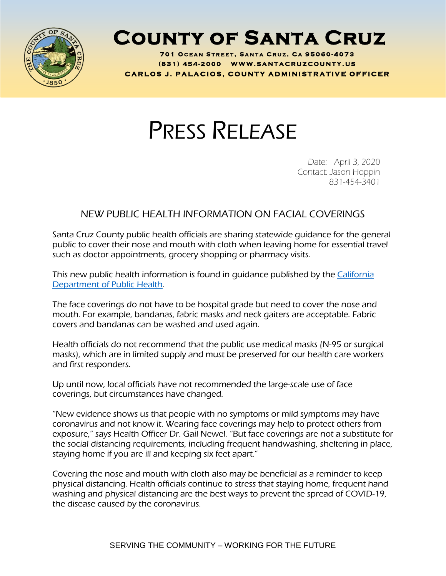

## **County of Santa Cruz**

**701 O C E A N S T R E E T , S A N T A C R U Z , C A 95060 - 407 3 ( 8 3 1 ) <sup>454</sup> - <sup>200</sup> <sup>0</sup> W W W . S A N T A C R U Z C O U N T Y . U S C A R L O S J . P A L A C I O S , C O U N T Y A D M I N I S T R A T I V E O F F I C E R**

## PRESS RELEASE

Date: April 3, 2020 Contact: Jason Hoppin 831-454-3401

## NEW PUBLIC HEALTH INFORMATION ON FACIAL COVERINGS

Santa Cruz County public health officials are sharing statewide guidance for the general public to cover their nose and mouth with cloth when leaving home for essential travel such as doctor appointments, grocery shopping or pharmacy visits.

This new public health information is found in quidance published by the California [Department of Public Health.](https://www.cdph.ca.gov/Programs/CID/DCDC/Pages/Face-Coverings-Guidance.aspx)

The face coverings do not have to be hospital grade but need to cover the nose and mouth. For example, bandanas, fabric masks and neck gaiters are acceptable. Fabric covers and bandanas can be washed and used again.

Health officials do not recommend that the public use medical masks (N-95 or surgical masks), which are in limited supply and must be preserved for our health care workers and first responders.

Up until now, local officials have not recommended the large-scale use of face coverings, but circumstances have changed.

"New evidence shows us that people with no symptoms or mild symptoms may have coronavirus and not know it. Wearing face coverings may help to protect others from exposure," says Health Officer Dr. Gail Newel. "But face coverings are not a substitute for the social distancing requirements, including frequent handwashing, sheltering in place, staying home if you are ill and keeping six feet apart."

Covering the nose and mouth with cloth also may be beneficial as a reminder to keep physical distancing. Health officials continue to stress that staying home, frequent hand washing and physical distancing are the best ways to prevent the spread of COVID-19, the disease caused by the coronavirus.